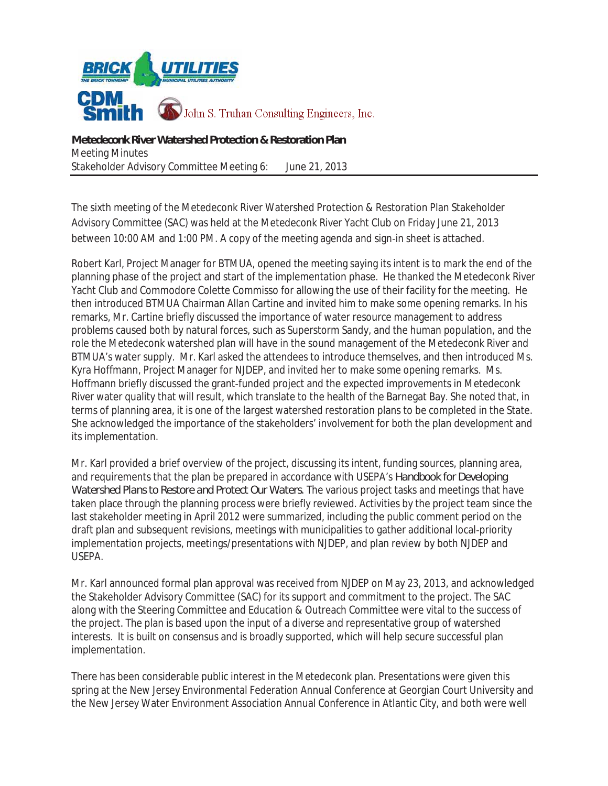

The sixth meeting of the Metedeconk River Watershed Protection & Restoration Plan Stakeholder Advisory Committee (SAC) was held at the Metedeconk River Yacht Club on Friday June 21, 2013 between 10:00 AM and 1:00 PM. A copy of the meeting agenda and sign-in sheet is attached.

Robert Karl, Project Manager for BTMUA, opened the meeting saying its intent is to mark the end of the planning phase of the project and start of the implementation phase. He thanked the Metedeconk River Yacht Club and Commodore Colette Commisso for allowing the use of their facility for the meeting. He then introduced BTMUA Chairman Allan Cartine and invited him to make some opening remarks. In his remarks, Mr. Cartine briefly discussed the importance of water resource management to address problems caused both by natural forces, such as Superstorm Sandy, and the human population, and the role the Metedeconk watershed plan will have in the sound management of the Metedeconk River and BTMUA's water supply. Mr. Karl asked the attendees to introduce themselves, and then introduced Ms. Kyra Hoffmann, Project Manager for NJDEP, and invited her to make some opening remarks. Ms. Hoffmann briefly discussed the grant-funded project and the expected improvements in Metedeconk River water quality that will result, which translate to the health of the Barnegat Bay. She noted that, in terms of planning area, it is one of the largest watershed restoration plans to be completed in the State. She acknowledged the importance of the stakeholders' involvement for both the plan development and its implementation.

Mr. Karl provided a brief overview of the project, discussing its intent, funding sources, planning area, and requirements that the plan be prepared in accordance with USEPA's *Handbook for Developing Watershed Plans to Restore and Protect Our Waters*. The various project tasks and meetings that have taken place through the planning process were briefly reviewed. Activities by the project team since the last stakeholder meeting in April 2012 were summarized, including the public comment period on the draft plan and subsequent revisions, meetings with municipalities to gather additional local-priority implementation projects, meetings/presentations with NJDEP, and plan review by both NJDEP and USEPA.

Mr. Karl announced formal plan approval was received from NJDEP on May 23, 2013, and acknowledged the Stakeholder Advisory Committee (SAC) for its support and commitment to the project. The SAC along with the Steering Committee and Education & Outreach Committee were vital to the success of the project. The plan is based upon the input of a diverse and representative group of watershed interests. It is built on consensus and is broadly supported, which will help secure successful plan implementation.

There has been considerable public interest in the Metedeconk plan. Presentations were given this spring at the New Jersey Environmental Federation Annual Conference at Georgian Court University and the New Jersey Water Environment Association Annual Conference in Atlantic City, and both were well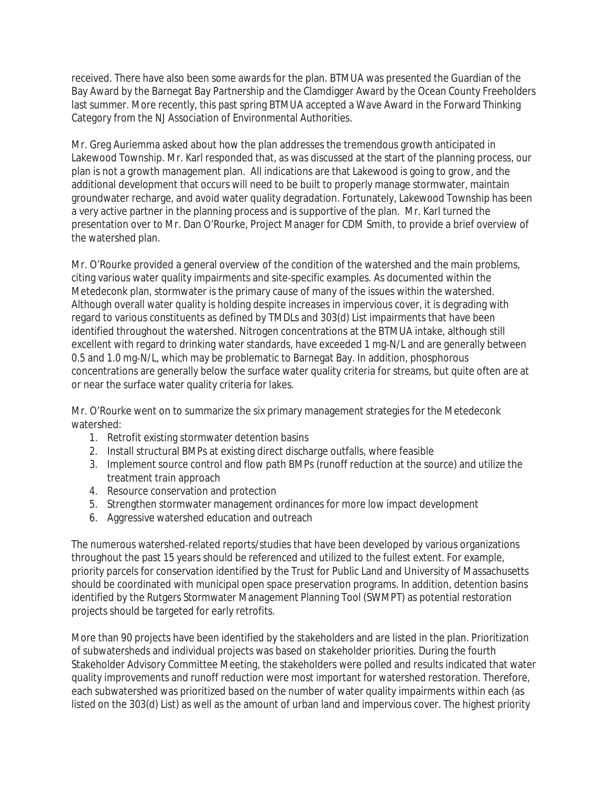received. There have also been some awards for the plan. BTMUA was presented the Guardian of the Bay Award by the Barnegat Bay Partnership and the Clamdigger Award by the Ocean County Freeholders last summer. More recently, this past spring BTMUA accepted a Wave Award in the Forward Thinking Category from the NJ Association of Environmental Authorities.

Mr. Greg Auriemma asked about how the plan addresses the tremendous growth anticipated in Lakewood Township. Mr. Karl responded that, as was discussed at the start of the planning process, our plan is not a growth management plan. All indications are that Lakewood is going to grow, and the additional development that occurs will need to be built to properly manage stormwater, maintain groundwater recharge, and avoid water quality degradation. Fortunately, Lakewood Township has been a very active partner in the planning process and is supportive of the plan. Mr. Karl turned the presentation over to Mr. Dan O'Rourke, Project Manager for CDM Smith, to provide a brief overview of the watershed plan.

Mr. O'Rourke provided a general overview of the condition of the watershed and the main problems, citing various water quality impairments and site-specific examples. As documented within the Metedeconk plan, stormwater is the primary cause of many of the issues within the watershed. Although overall water quality is holding despite increases in impervious cover, it is degrading with regard to various constituents as defined by TMDLs and 303(d) List impairments that have been identified throughout the watershed. Nitrogen concentrations at the BTMUA intake, although still excellent with regard to drinking water standards, have exceeded 1 mg-N/L and are generally between 0.5 and 1.0 mg-N/L, which may be problematic to Barnegat Bay. In addition, phosphorous concentrations are generally below the surface water quality criteria for streams, but quite often are at or near the surface water quality criteria for lakes.

Mr. O'Rourke went on to summarize the six primary management strategies for the Metedeconk watershed:

- 1. Retrofit existing stormwater detention basins
- 2. Install structural BMPs at existing direct discharge outfalls, where feasible
- 3. Implement source control and flow path BMPs (runoff reduction at the source) and utilize the treatment train approach
- 4. Resource conservation and protection
- 5. Strengthen stormwater management ordinances for more low impact development
- 6. Aggressive watershed education and outreach

The numerous watershed-related reports/studies that have been developed by various organizations throughout the past 15 years should be referenced and utilized to the fullest extent. For example, priority parcels for conservation identified by the Trust for Public Land and University of Massachusetts should be coordinated with municipal open space preservation programs. In addition, detention basins identified by the Rutgers Stormwater Management Planning Tool (SWMPT) as potential restoration projects should be targeted for early retrofits.

More than 90 projects have been identified by the stakeholders and are listed in the plan. Prioritization of subwatersheds and individual projects was based on stakeholder priorities. During the fourth Stakeholder Advisory Committee Meeting, the stakeholders were polled and results indicated that water quality improvements and runoff reduction were most important for watershed restoration. Therefore, each subwatershed was prioritized based on the number of water quality impairments within each (as listed on the 303(d) List) as well as the amount of urban land and impervious cover. The highest priority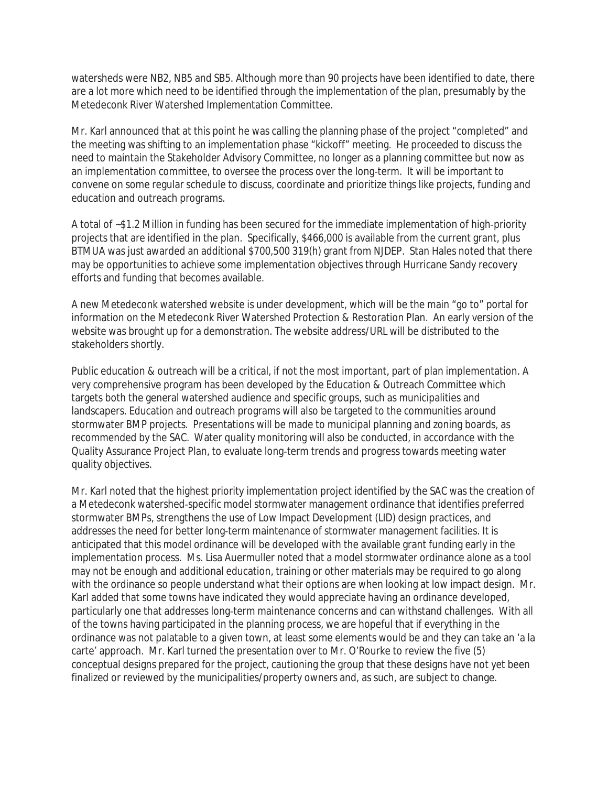watersheds were NB2, NB5 and SB5. Although more than 90 projects have been identified to date, there are a lot more which need to be identified through the implementation of the plan, presumably by the Metedeconk River Watershed Implementation Committee.

Mr. Karl announced that at this point he was calling the planning phase of the project "completed" and the meeting was shifting to an implementation phase "kickoff" meeting. He proceeded to discuss the need to maintain the Stakeholder Advisory Committee, no longer as a planning committee but now as an implementation committee, to oversee the process over the long-term. It will be important to convene on some regular schedule to discuss, coordinate and prioritize things like projects, funding and education and outreach programs.

A total of ~\$1.2 Million in funding has been secured for the immediate implementation of high-priority projects that are identified in the plan. Specifically, \$466,000 is available from the current grant, plus BTMUA was just awarded an additional \$700,500 319(h) grant from NJDEP. Stan Hales noted that there may be opportunities to achieve some implementation objectives through Hurricane Sandy recovery efforts and funding that becomes available.

A new Metedeconk watershed website is under development, which will be the main "go to" portal for information on the Metedeconk River Watershed Protection & Restoration Plan. An early version of the website was brought up for a demonstration. The website address/URL will be distributed to the stakeholders shortly.

Public education & outreach will be a critical, if not the most important, part of plan implementation. A very comprehensive program has been developed by the Education & Outreach Committee which targets both the general watershed audience and specific groups, such as municipalities and landscapers. Education and outreach programs will also be targeted to the communities around stormwater BMP projects. Presentations will be made to municipal planning and zoning boards, as recommended by the SAC. Water quality monitoring will also be conducted, in accordance with the Quality Assurance Project Plan, to evaluate long-term trends and progress towards meeting water quality objectives.

Mr. Karl noted that the highest priority implementation project identified by the SAC was the creation of a Metedeconk watershed-specific model stormwater management ordinance that identifies preferred stormwater BMPs, strengthens the use of Low Impact Development (LID) design practices, and addresses the need for better long-term maintenance of stormwater management facilities. It is anticipated that this model ordinance will be developed with the available grant funding early in the implementation process. Ms. Lisa Auermuller noted that a model stormwater ordinance alone as a tool may not be enough and additional education, training or other materials may be required to go along with the ordinance so people understand what their options are when looking at low impact design. Mr. Karl added that some towns have indicated they would appreciate having an ordinance developed, particularly one that addresses long-term maintenance concerns and can withstand challenges. With all of the towns having participated in the planning process, we are hopeful that if everything in the ordinance was not palatable to a given town, at least some elements would be and they can take an 'a la carte' approach. Mr. Karl turned the presentation over to Mr. O'Rourke to review the five (5) conceptual designs prepared for the project, cautioning the group that these designs have not yet been finalized or reviewed by the municipalities/property owners and, as such, are subject to change.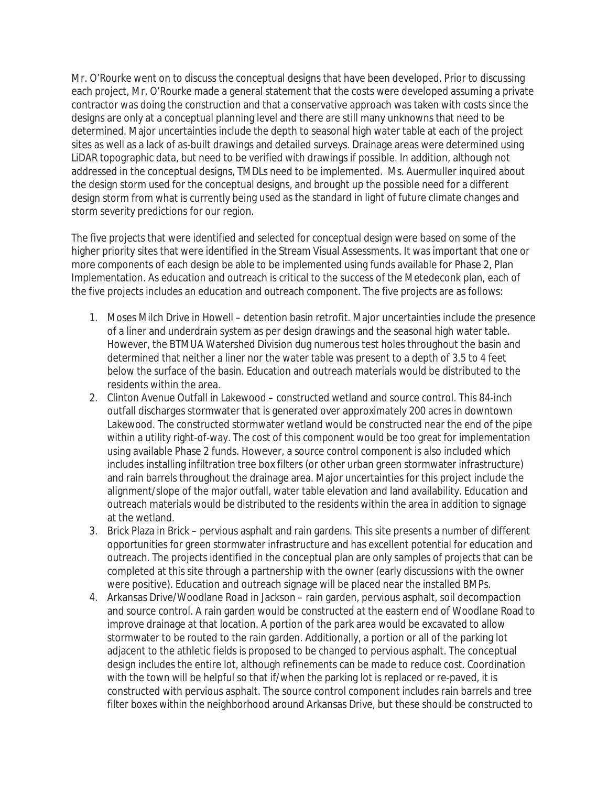Mr. O'Rourke went on to discuss the conceptual designs that have been developed. Prior to discussing each project, Mr. O'Rourke made a general statement that the costs were developed assuming a private contractor was doing the construction and that a conservative approach was taken with costs since the designs are only at a conceptual planning level and there are still many unknowns that need to be determined. Major uncertainties include the depth to seasonal high water table at each of the project sites as well as a lack of as-built drawings and detailed surveys. Drainage areas were determined using LiDAR topographic data, but need to be verified with drawings if possible. In addition, although not addressed in the conceptual designs, TMDLs need to be implemented. Ms. Auermuller inquired about the design storm used for the conceptual designs, and brought up the possible need for a different design storm from what is currently being used as the standard in light of future climate changes and storm severity predictions for our region.

The five projects that were identified and selected for conceptual design were based on some of the higher priority sites that were identified in the Stream Visual Assessments. It was important that one or more components of each design be able to be implemented using funds available for Phase 2, Plan Implementation. As education and outreach is critical to the success of the Metedeconk plan, each of the five projects includes an education and outreach component. The five projects are as follows:

- 1. Moses Milch Drive in Howell detention basin retrofit. Major uncertainties include the presence of a liner and underdrain system as per design drawings and the seasonal high water table. However, the BTMUA Watershed Division dug numerous test holes throughout the basin and determined that neither a liner nor the water table was present to a depth of 3.5 to 4 feet below the surface of the basin. Education and outreach materials would be distributed to the residents within the area.
- 2. Clinton Avenue Outfall in Lakewood constructed wetland and source control. This 84-inch outfall discharges stormwater that is generated over approximately 200 acres in downtown Lakewood. The constructed stormwater wetland would be constructed near the end of the pipe within a utility right-of-way. The cost of this component would be too great for implementation using available Phase 2 funds. However, a source control component is also included which includes installing infiltration tree box filters (or other urban green stormwater infrastructure) and rain barrels throughout the drainage area. Major uncertainties for this project include the alignment/slope of the major outfall, water table elevation and land availability. Education and outreach materials would be distributed to the residents within the area in addition to signage at the wetland.
- 3. Brick Plaza in Brick pervious asphalt and rain gardens. This site presents a number of different opportunities for green stormwater infrastructure and has excellent potential for education and outreach. The projects identified in the conceptual plan are only samples of projects that can be completed at this site through a partnership with the owner (early discussions with the owner were positive). Education and outreach signage will be placed near the installed BMPs.
- 4. Arkansas Drive/Woodlane Road in Jackson rain garden, pervious asphalt, soil decompaction and source control. A rain garden would be constructed at the eastern end of Woodlane Road to improve drainage at that location. A portion of the park area would be excavated to allow stormwater to be routed to the rain garden. Additionally, a portion or all of the parking lot adjacent to the athletic fields is proposed to be changed to pervious asphalt. The conceptual design includes the entire lot, although refinements can be made to reduce cost. Coordination with the town will be helpful so that if/when the parking lot is replaced or re-paved, it is constructed with pervious asphalt. The source control component includes rain barrels and tree filter boxes within the neighborhood around Arkansas Drive, but these should be constructed to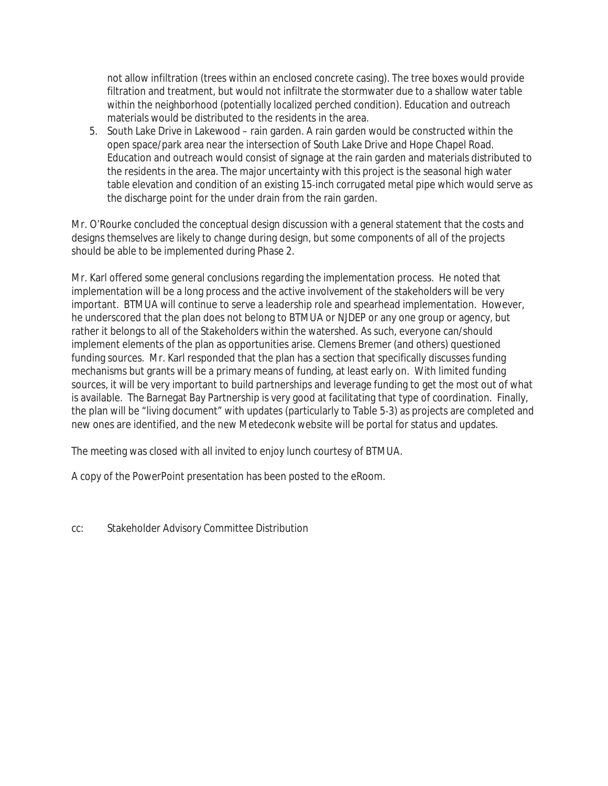not allow infiltration (trees within an enclosed concrete casing). The tree boxes would provide filtration and treatment, but would not infiltrate the stormwater due to a shallow water table within the neighborhood (potentially localized perched condition). Education and outreach materials would be distributed to the residents in the area.

5. South Lake Drive in Lakewood – rain garden. A rain garden would be constructed within the open space/park area near the intersection of South Lake Drive and Hope Chapel Road. Education and outreach would consist of signage at the rain garden and materials distributed to the residents in the area. The major uncertainty with this project is the seasonal high water table elevation and condition of an existing 15-inch corrugated metal pipe which would serve as the discharge point for the under drain from the rain garden.

Mr. O'Rourke concluded the conceptual design discussion with a general statement that the costs and designs themselves are likely to change during design, but some components of all of the projects should be able to be implemented during Phase 2.

Mr. Karl offered some general conclusions regarding the implementation process. He noted that implementation will be a long process and the active involvement of the stakeholders will be very important. BTMUA will continue to serve a leadership role and spearhead implementation. However, he underscored that the plan does not belong to BTMUA or NJDEP or any one group or agency, but rather it belongs to all of the Stakeholders within the watershed. As such, everyone can/should implement elements of the plan as opportunities arise. Clemens Bremer (and others) questioned funding sources. Mr. Karl responded that the plan has a section that specifically discusses funding mechanisms but grants will be a primary means of funding, at least early on. With limited funding sources, it will be very important to build partnerships and leverage funding to get the most out of what is available. The Barnegat Bay Partnership is very good at facilitating that type of coordination. Finally, the plan will be "living document" with updates (particularly to Table 5-3) as projects are completed and new ones are identified, and the new Metedeconk website will be portal for status and updates.

The meeting was closed with all invited to enjoy lunch courtesy of BTMUA.

A copy of the PowerPoint presentation has been posted to the eRoom.

cc: Stakeholder Advisory Committee Distribution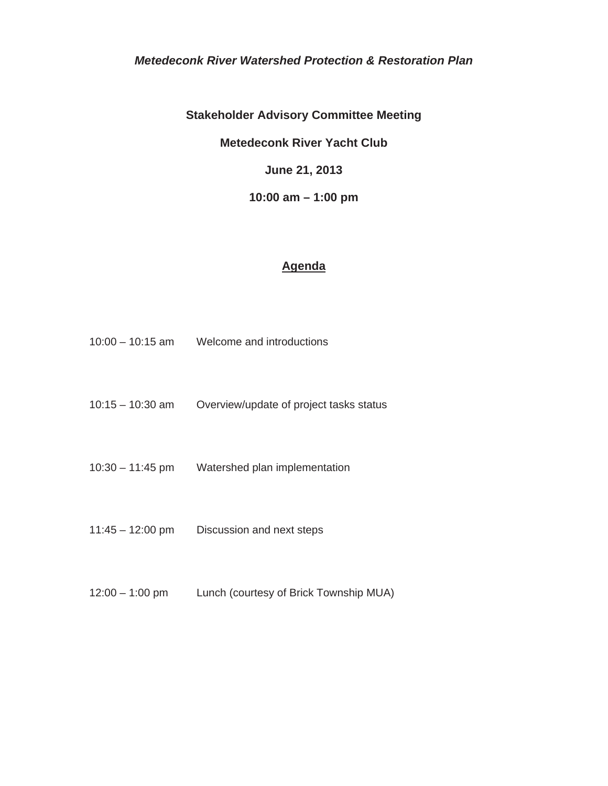#### *Metedeconk River Watershed Protection & Restoration Plan*

**Stakeholder Advisory Committee Meeting** 

**Metedeconk River Yacht Club** 

**June 21, 2013** 

**10:00 am – 1:00 pm** 

#### **Agenda**

- 10:00 10:15 am Welcome and introductions
- 10:15 10:30 am Overview/update of project tasks status
- 10:30 11:45 pm Watershed plan implementation
- 11:45 12:00 pm Discussion and next steps
- 12:00 1:00 pm Lunch (courtesy of Brick Township MUA)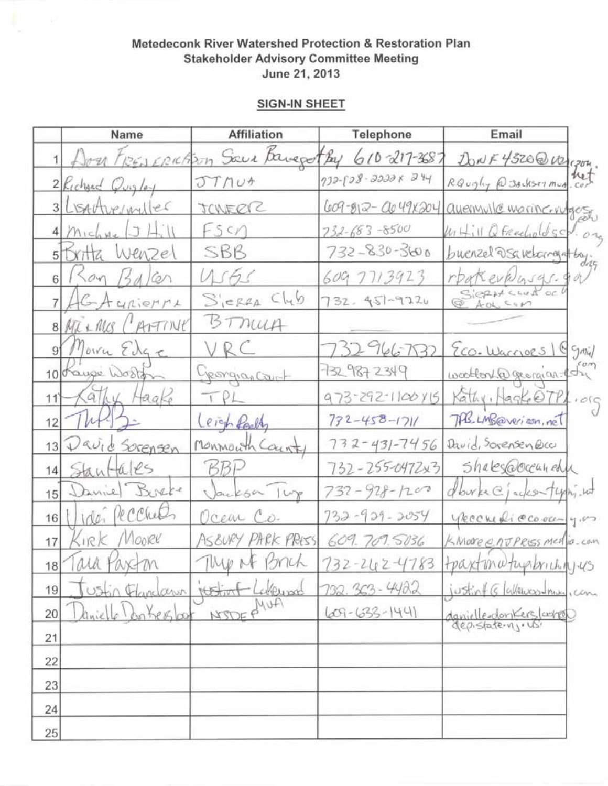|    | Name                     | <b>Affiliation</b>                        | Telephone             | Email                                     |  |
|----|--------------------------|-------------------------------------------|-----------------------|-------------------------------------------|--|
|    |                          | Don FREARCHEM Sauce Baugothy 610-217-3687 |                       | DONF 4520@war                             |  |
|    | 2 Kichard Quigley        | JTNU+                                     | 732-828-22228 244     | RQuigling @ 38- 4507 mug ret              |  |
|    | LISALAURINAL             | JONERIC                                   |                       | 609-812- Que 49x204 avenuale marine-vuges |  |
|    | Michne                   | Fsch                                      | $732 - 683 - 8500$    | Withill Q Freecholdscd                    |  |
|    | xitta Wenzel             | SBB                                       | 732-830-3600          | buenzel DSavelangel by.                   |  |
|    | Son/5dcon                | WAS                                       | 609 7713923           | rbakevkhasgs.                             |  |
|    | GAURIOMML                | $C_{12}$<br>$S_{i}$ erea                  | 732. 451-9220         | SierHaud oc                               |  |
|    | ATTINE<br>$8$ $Mt + Mcs$ | BTMUA                                     |                       |                                           |  |
|    | oiver Edge               | VRC                                       | 32966732              | Eco. Waccoes 1 & gmill                    |  |
| 10 | bauge Woolf              | yeongrapart                               | 732 987 2349          | wollow @ georgian esting                  |  |
| 11 | q <br>Haake              |                                           | 973-292-1100415       | Kathy, Magke @7PL, org                    |  |
| 12 |                          | Ceich Party                               | $732 - 458 - 1711$    | TAB. LMB@verizon, net                     |  |
| 13 | Downe<br>Sorensen        | MONMOUTH COUNT                            | $732 - 431 - 7456$    | David, Sorensen Bcc                       |  |
| 14 | tales<br>Stant           | BBP                                       | 732-255-0472x3        | Shakes@occunedu                           |  |
| 15 | Burke                    | Jacksa lup                                | $732 - 928 - 1200$    | dburke C jackson typing wat               |  |
| 16 | recher<br>100            | Ocem Co.                                  | $732 - 939 - 2054$    | ykechediccooca-yus                        |  |
| 17 | Mooree<br>Sirk           | AS&URY PARK PRESS                         | 609.709.5036          | K.More entress media-com                  |  |
| 18 | ala Pax-m                | They M Brick                              | $732 - 242 - 4783$    | tpaxtmaturibrichingus                     |  |
| 19 | Ustin Flandawn           | Lakeum<br>thetim                          | 232.363-4422          | $\epsilon$                                |  |
| 20 | Kerster<br>aniel         | NSTOFF                                    | $(209 - (633 - 144))$ | danielle donkers laures                   |  |
| 21 |                          |                                           |                       |                                           |  |
| 22 |                          |                                           |                       |                                           |  |
| 23 |                          |                                           |                       |                                           |  |
| 24 |                          |                                           |                       |                                           |  |
| 25 |                          |                                           |                       |                                           |  |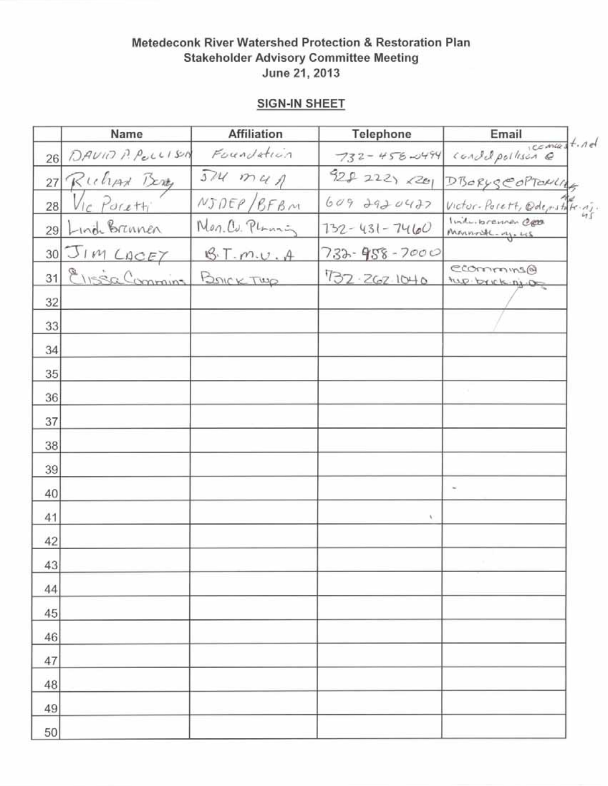|                 | Name              | <b>Affiliation</b> | Telephone          | Email                               |  |
|-----------------|-------------------|--------------------|--------------------|-------------------------------------|--|
| 26              | DAVID P. POLLISON | Foundation         | $732 - 458 - 0494$ | condepoilison et nel                |  |
| 27              | Ruhar Berry       | $374$ $maA$        | 928222220          | DBORYSCOPTOMIAS                     |  |
| 28              | Vic Poretti       | NJDEP/BFBM         | $609$ 2920422      | Victor-Porett, Oderstate 45.        |  |
| 29              | Lind Brinnen      | Non. Cu. Plannin   | $732 - 431 - 7460$ | Induitorennen Cett<br>Mannosk-ry.us |  |
| 30 <sup>°</sup> | JIM LACEY         | BT.m.v.A           | $733 - 958 - 7000$ |                                     |  |
| 31              | Elissa Commins    | BOICKTWR           | 732.262.1040       | ecommunis@<br>tup brick nj og       |  |
| 32              |                   |                    |                    |                                     |  |
| 33              |                   |                    |                    |                                     |  |
| 34              |                   |                    |                    |                                     |  |
| 35              |                   |                    |                    |                                     |  |
| 36              |                   |                    |                    |                                     |  |
| 37              |                   |                    |                    |                                     |  |
| 38              |                   |                    |                    |                                     |  |
| 39              |                   |                    |                    |                                     |  |
| 40              |                   |                    |                    |                                     |  |
| 41              |                   |                    |                    |                                     |  |
| 42              |                   |                    |                    |                                     |  |
| 43              |                   |                    |                    |                                     |  |
| 44              |                   |                    |                    |                                     |  |
| 45              |                   |                    |                    |                                     |  |
| 46              |                   |                    |                    |                                     |  |
| 47              |                   |                    |                    |                                     |  |
| 48              |                   |                    |                    |                                     |  |
| 49              |                   |                    |                    |                                     |  |
| 50              |                   |                    |                    |                                     |  |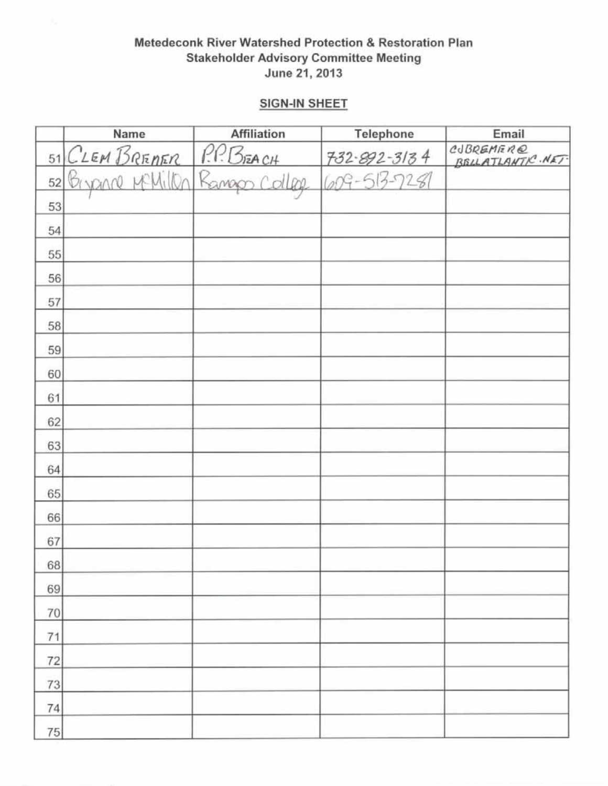|    | Name                         | <b>Affiliation</b> | Telephone                                 | Email                        |
|----|------------------------------|--------------------|-------------------------------------------|------------------------------|
|    | 51 CLEM BRENER               | P.P. BEACH         |                                           | CUBREMERE<br>BELLATLANTR.NET |
| 52 | Bryanne Millen Ramapo Colleg |                    | $732 - 892 - 3134$<br>$(009 - 513 - 728)$ |                              |
| 53 |                              |                    |                                           |                              |
| 54 |                              |                    |                                           |                              |
| 55 |                              |                    |                                           |                              |
| 56 |                              |                    |                                           |                              |
| 57 |                              |                    |                                           |                              |
| 58 |                              |                    |                                           |                              |
| 59 |                              |                    |                                           |                              |
| 60 |                              |                    |                                           |                              |
| 61 |                              |                    |                                           |                              |
| 62 |                              |                    |                                           |                              |
| 63 |                              |                    |                                           |                              |
| 64 |                              |                    |                                           |                              |
| 65 |                              |                    |                                           |                              |
| 66 |                              |                    |                                           |                              |
| 67 |                              |                    |                                           |                              |
| 68 |                              |                    |                                           |                              |
| 69 |                              |                    |                                           |                              |
| 70 |                              |                    |                                           |                              |
| 71 |                              |                    |                                           |                              |
| 72 |                              |                    |                                           |                              |
| 73 |                              |                    |                                           |                              |
| 74 |                              |                    |                                           |                              |
| 75 |                              |                    |                                           |                              |